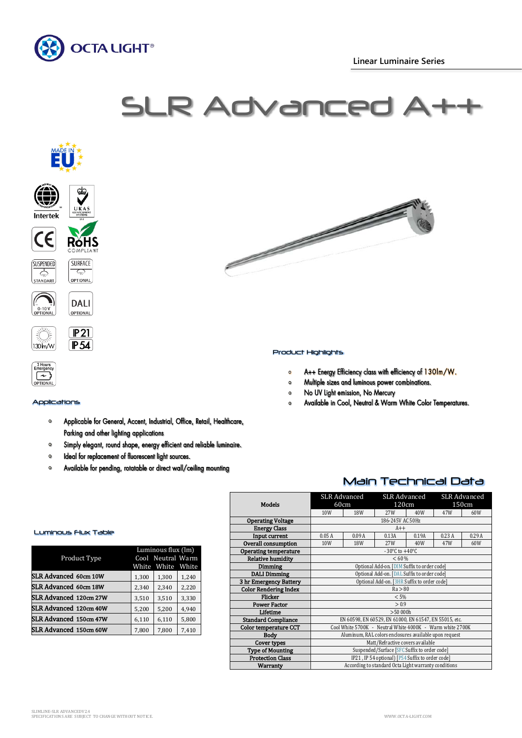

# SLR Advance



**SUSPENDED** SURFACE  $\frac{1}{\sqrt{2}}$  $\mathcal{L}_{\text{max}}$ STANDART OPTIONAL





## **AINDITION**

3 Hour<br>Emerger

 $\lceil \cdot \rceil$ 

## Applications

- Applicable for General, Accent, Industrial, Office, Retail, Healthcare,  $\bullet$ Parking and other lighting applications
- Simply elegant, round shape, energy efficient and reliable luminaire.  $\circ$
- $\bullet$ Ideal for replacement of fluorescent light sources.
- $\bullet$ Available for pending, rotatable or direct wall/ceiling mounting



### Product Highlights

- A++ Energy Efficiency class with efficiency of 130lm/W.  $\circ$
- Multiple sizes and luminous power combinations.  $\circ$
- No UV Light emission, No Mercury  $\mathbf 0$
- Available in Cool, Neutral & Warm White Color Temperatures.  $\circ$

## Main Technical Data

|                              | <b>SLR Advanced</b>                                       |            | <b>SLR Advanced</b> |       | <b>SLR Advanced</b> |       |  |
|------------------------------|-----------------------------------------------------------|------------|---------------------|-------|---------------------|-------|--|
| <b>Models</b>                | 60cm                                                      |            | 120cm               |       | 150cm               |       |  |
|                              | 10W                                                       | <b>18W</b> | 27W                 | 40W   | 47W                 | 60W   |  |
| <b>Operating Voltage</b>     | 186-245V AC 50Hz                                          |            |                     |       |                     |       |  |
| <b>Energy Class</b>          | $A++$                                                     |            |                     |       |                     |       |  |
| Input current                | 0.05A                                                     | 0.09A      | 0.13A               | 0.19A | 0.23A               | 0.29A |  |
| Overall consumption          | 10W                                                       | 18W        | 27W                 | 40W   | 47W                 | 60W   |  |
| <b>Operating temperature</b> | $-30^{\circ}$ C to $+40^{\circ}$ C                        |            |                     |       |                     |       |  |
| <b>Relative humidity</b>     | < 60 %                                                    |            |                     |       |                     |       |  |
| Dimming                      | Optional Add-on. [DIM Suffix to order code]               |            |                     |       |                     |       |  |
| <b>DALI</b> Dimming          | Optional Add-on. [DAL Suffix to order code]               |            |                     |       |                     |       |  |
| 3 hr Emergency Battery       | Optional Add-on. [3HR Suffix to order code]               |            |                     |       |                     |       |  |
| <b>Color Rendering Index</b> | Ra > 80                                                   |            |                     |       |                     |       |  |
| Flicker                      | < 5%                                                      |            |                     |       |                     |       |  |
| <b>Power Factor</b>          | > 0.9                                                     |            |                     |       |                     |       |  |
| Lifetime                     | >50000h                                                   |            |                     |       |                     |       |  |
| <b>Standard Compliance</b>   | EN 60598, EN 60529, EN 61000, EN 61547, EN 55015, etc.    |            |                     |       |                     |       |  |
| <b>Color temperature CCT</b> | Cool White 5700K - Neutral White 4000K - Warm white 2700K |            |                     |       |                     |       |  |
| <b>Body</b>                  | Aluminum, RAL colors enclosures available upon request    |            |                     |       |                     |       |  |
| Cover types                  | Matt/Refractive covers available                          |            |                     |       |                     |       |  |
| <b>Type of Mounting</b>      | Suspended/Surface [SFC Suffix to order code]              |            |                     |       |                     |       |  |
| <b>Protection Class</b>      | IP21, IP 54 optional) [P54 Suffix to order code]          |            |                     |       |                     |       |  |
| Warranty                     | According to standard Octa Light warranty conditions      |            |                     |       |                     |       |  |

# Luminous Flux Table

| Product Type                 | Luminous flux (lm)<br>Cool Neutral Warm<br>White<br>White<br>White |       |       |
|------------------------------|--------------------------------------------------------------------|-------|-------|
| SLR Advanced 60cm 10W        | 1,300                                                              | 1,300 | 1,240 |
| <b>SLR Advanced 60cm 18W</b> | 2,340                                                              | 2,340 | 2,220 |
| SLR Advanced 120cm 27W       | 3,510                                                              | 3,510 | 3,330 |
| SLR Advanced 120cm 40W       | 5,200                                                              | 5,200 | 4,940 |
| SLR Advanced 150cm 47W       | 6,110                                                              | 6,110 | 5,800 |
| SLR Advanced 150cm 60W       | 7,800                                                              | 7,800 | 7,410 |